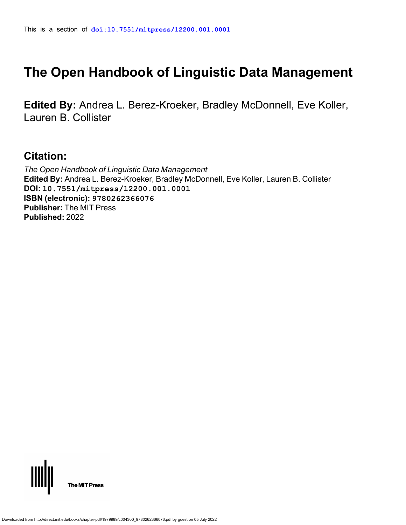# **The Open Handbook of Linguistic Data Management**

**Edited By:** Andrea L. Berez-Kroeker, Bradley McDonnell, Eve Koller, Lauren B. Collister

# **Citation:**

*The Open Handbook of Linguistic Data Management* **Edited By:** Andrea L. Berez-Kroeker, Bradley McDonnell, Eve Koller, Lauren B. Collister **DOI: 10.7551/mitpress/12200.001.0001 ISBN (electronic): 9780262366076 Publisher:** The MIT Press **Published:** 2022



**The MIT Press**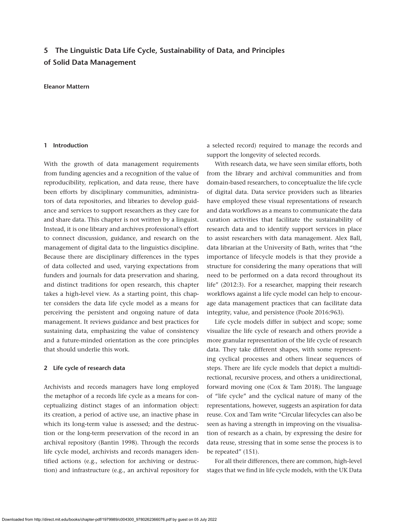# **5 The Linguistic Data Life Cycle, Sustainability of Data, and Principles of Solid Data Management**

#### **Eleanor Mattern**

# **1 Introduction**

With the growth of data management requirements from funding agencies and a recognition of the value of reproducibility, replication, and data reuse, there have been efforts by disciplinary communities, administrators of data repositories, and libraries to develop guidance and services to support researchers as they care for and share data. This chapter is not written by a linguist. Instead, it is one library and archives professional's effort to connect discussion, guidance, and research on the management of digital data to the linguistics discipline. Because there are disciplinary differences in the types of data collected and used, varying expectations from funders and journals for data preservation and sharing, and distinct traditions for open research, this chapter takes a high-level view. As a starting point, this chapter considers the data life cycle model as a means for perceiving the persistent and ongoing nature of data management. It reviews guidance and best practices for sustaining data, emphasizing the value of consistency and a future-minded orientation as the core principles that should underlie this work.

#### **2 Life cycle of research data**

Archivists and records managers have long employed the metaphor of a records life cycle as a means for conceptualizing distinct stages of an information object: its creation, a period of active use, an inactive phase in which its long-term value is assessed; and the destruction or the long-term preservation of the record in an archival repository (Bantin 1998). Through the records life cycle model, archivists and records managers identified actions (e.g., selection for archiving or destruction) and infrastructure (e.g., an archival repository for

a selected record) required to manage the records and support the longevity of selected records.

With research data, we have seen similar efforts, both from the library and archival communities and from domain-based researchers, to conceptualize the life cycle of digital data. Data service providers such as libraries have employed these visual representations of research and data workflows as a means to communicate the data curation activities that facilitate the sustainability of research data and to identify support services in place to assist researchers with data management. Alex Ball, data librarian at the University of Bath, writes that "the importance of lifecycle models is that they provide a structure for considering the many operations that will need to be performed on a data record throughout its life" (2012:3). For a researcher, mapping their research workflows against a life cycle model can help to encourage data management practices that can facilitate data integrity, value, and persistence (Poole 2016:963).

Life cycle models differ in subject and scope; some visualize the life cycle of research and others provide a more granular representation of the life cycle of research data. They take different shapes, with some representing cyclical processes and others linear sequences of steps. There are life cycle models that depict a multidirectional, recursive process, and others a unidirectional, forward moving one (Cox & Tam 2018). The language of "life cycle" and the cyclical nature of many of the representations, however, suggests an aspiration for data reuse. Cox and Tam write "Circular lifecycles can also be seen as having a strength in improving on the visualisation of research as a chain, by expressing the desire for data reuse, stressing that in some sense the process is to be repeated" (151).

For all their differences, there are common, high-level stages that we find in life cycle models, with the UK Data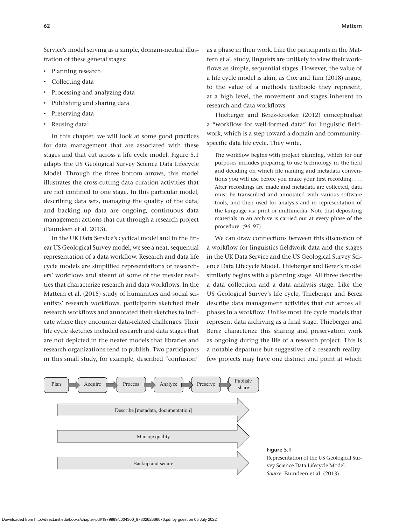Service's model serving as a simple, domain-neutral illustration of these general stages:

- Planning research
- Collecting data
- Processing and analyzing data
- Publishing and sharing data
- Preserving data
- Reusing data $<sup>1</sup>$ </sup>

In this chapter, we will look at some good practices for data management that are associated with these stages and that cut across a life cycle model. Figure 5.1 adapts the US Geological Survey Science Data Lifecycle Model. Through the three bottom arrows, this model illustrates the cross-cutting data curation activities that are not confined to one stage. In this particular model, describing data sets, managing the quality of the data, and backing up data are ongoing, continuous data management actions that cut through a research project (Faundeen et al. 2013).

In the UK Data Service's cyclical model and in the linear US Geological Survey model, we see a neat, sequential representation of a data workflow. Research and data life cycle models are simplified representations of researchers' workflows and absent of some of the messier realities that characterize research and data workflows. In the Mattern et al. (2015) study of humanities and social scientists' research workflows, participants sketched their research workflows and annotated their sketches to indicate where they encounter data-related challenges. Their life cycle sketches included research and data stages that are not depicted in the neater models that libraries and research organizations tend to publish. Two participants in this small study, for example, described "confusion"

as a phase in their work. Like the participants in the Mattern et al. study, linguists are unlikely to view their workflows as simple, sequential stages. However, the value of a life cycle model is akin, as Cox and Tam (2018) argue, to the value of a methods textbook: they represent, at a high level, the movement and stages inherent to research and data workflows.

Thieberger and Berez-Kroeker (2012) conceptualize a "workflow for well-formed data" for linguistic fieldwork, which is a step toward a domain and communityspecific data life cycle. They write,

The workflow begins with project planning, which for our purposes includes preparing to use technology in the field and deciding on which file naming and metadata conventions you will use before you make your first recording. . . . After recordings are made and metadata are collected, data must be transcribed and annotated with various software tools, and then used for analysis and in representation of the language via print or multimedia. Note that depositing materials in an archive is carried out at every phase of the procedure. (96–97)

We can draw connections between this discussion of a workflow for linguistics fieldwork data and the stages in the UK Data Service and the US Geological Survey Science Data Lifecycle Model. Thieberger and Berez's model similarly begins with a planning stage. All three describe a data collection and a data analysis stage. Like the US Geological Survey's life cycle, Thieberger and Berez describe data management activities that cut across all phases in a workflow. Unlike most life cycle models that represent data archiving as a final stage, Thieberger and Berez characterize this sharing and preservation work as ongoing during the life of a research project. This is a notable departure but suggestive of a research reality: few projects may have one distinct end point at which

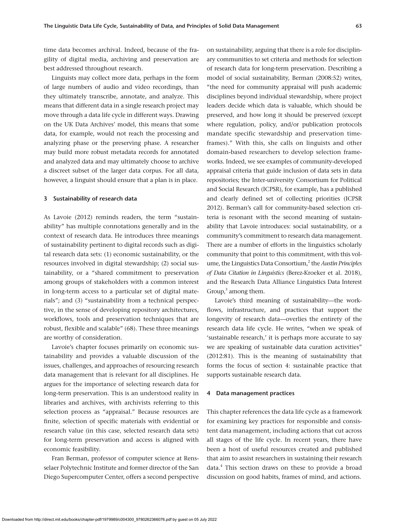time data becomes archival. Indeed, because of the fragility of digital media, archiving and preservation are best addressed throughout research.

Linguists may collect more data, perhaps in the form of large numbers of audio and video recordings, than they ultimately transcribe, annotate, and analyze. This means that different data in a single research project may move through a data life cycle in different ways. Drawing on the UK Data Archives' model, this means that some data, for example, would not reach the processing and analyzing phase or the preserving phase. A researcher may build more robust metadata records for annotated and analyzed data and may ultimately choose to archive a discreet subset of the larger data corpus. For all data, however, a linguist should ensure that a plan is in place.

#### **3 Sustainability of research data**

As Lavoie (2012) reminds readers, the term "sustainability" has multiple connotations generally and in the context of research data. He introduces three meanings of sustainability pertinent to digital records such as digital research data sets: (1) economic sustainability, or the resources involved in digital stewardship; (2) social sustainability, or a "shared commitment to preservation among groups of stakeholders with a common interest in long-term access to a particular set of digital materials"; and (3) "sustainability from a technical perspective, in the sense of developing repository architectures, workflows, tools and preservation techniques that are robust, flexible and scalable" (68). These three meanings are worthy of consideration.

Lavoie's chapter focuses primarily on economic sustainability and provides a valuable discussion of the issues, challenges, and approaches of resourcing research data management that is relevant for all disciplines. He argues for the importance of selecting research data for long-term preservation. This is an understood reality in libraries and archives, with archivists referring to this selection process as "appraisal." Because resources are finite, selection of specific materials with evidential or research value (in this case, selected research data sets) for long-term preservation and access is aligned with economic feasibility.

Fran Berman, professor of computer science at Rensselaer Polytechnic Institute and former director of the San Diego Supercomputer Center, offers a second perspective

on sustainability, arguing that there is a role for disciplinary communities to set criteria and methods for selection of research data for long-term preservation. Describing a model of social sustainability, Berman (2008:52) writes, "the need for community appraisal will push academic disciplines beyond individual stewardship, where project leaders decide which data is valuable, which should be preserved, and how long it should be preserved (except where regulation, policy, and/or publication protocols mandate specific stewardship and preservation timeframes)." With this, she calls on linguists and other domain-based researchers to develop selection frameworks. Indeed, we see examples of community-developed appraisal criteria that guide inclusion of data sets in data repositories; the Inter-university Consortium for Political and Social Research (ICPSR), for example, has a published and clearly defined set of collecting priorities (ICPSR 2012). Berman's call for community-based selection criteria is resonant with the second meaning of sustainability that Lavoie introduces: social sustainability, or a community's commitment to research data management. There are a number of efforts in the linguistics scholarly community that point to this commitment, with this volume, the Linguistics Data Consortium,<sup>2</sup> the *Austin Principles of Data Citation in Linguistics* (Berez-Kroeker et al. 2018), and the Research Data Alliance Linguistics Data Interest Group, $3$  among them.

Lavoie's third meaning of sustainability—the workflows, infrastructure, and practices that support the longevity of research data—overlies the entirety of the research data life cycle. He writes, "when we speak of 'sustainable research,' it is perhaps more accurate to say we are speaking of sustainable data curation activities" (2012:81). This is the meaning of sustainability that forms the focus of section 4: sustainable practice that supports sustainable research data.

#### **4 Data management practices**

This chapter references the data life cycle as a framework for examining key practices for responsible and consistent data management, including actions that cut across all stages of the life cycle. In recent years, there have been a host of useful resources created and published that aim to assist researchers in sustaining their research data.4 This section draws on these to provide a broad discussion on good habits, frames of mind, and actions.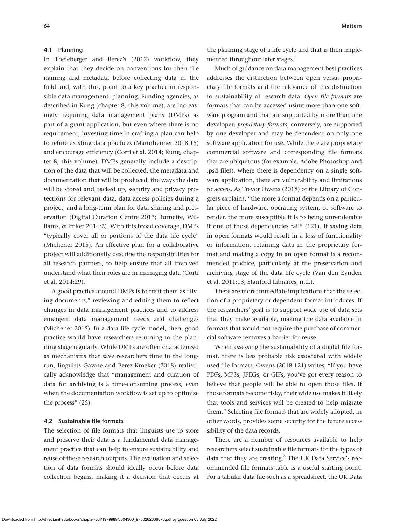# **4.1 Planning**

In Theieberger and Berez's (2012) workflow, they explain that they decide on conventions for their file naming and metadata before collecting data in the field and, with this, point to a key practice in responsible data management: planning. Funding agencies, as described in Kung (chapter 8, this volume), are increasingly requiring data management plans (DMPs) as part of a grant application, but even where there is no requirement, investing time in crafting a plan can help to refine existing data practices (Mannheimer 2018:15) and encourage efficiency (Corti et al. 2014; Kung, chapter 8, this volume). DMPs generally include a description of the data that will be collected, the metadata and documentation that will be produced, the ways the data will be stored and backed up, security and privacy protections for relevant data, data access policies during a project, and a long-term plan for data sharing and preservation (Digital Curation Centre 2013; Burnette, Williams, & Imker 2016:2). With this broad coverage, DMPs "typically cover all or portions of the data life cycle" (Michener 2015). An effective plan for a collaborative project will additionally describe the responsibilities for all research partners, to help ensure that all involved understand what their roles are in managing data (Corti et al. 2014:29).

A good practice around DMPs is to treat them as "living documents," reviewing and editing them to reflect changes in data management practices and to address emergent data management needs and challenges (Michener 2015). In a data life cycle model, then, good practice would have researchers returning to the planning stage regularly. While DMPs are often characterized as mechanisms that save researchers time in the longrun, linguists Gawne and Berez-Kroeker (2018) realistically acknowledge that "management and curation of data for archiving is a time-consuming process, even when the documentation workflow is set up to optimize the process" (25).

# **4.2 Sustainable file formats**

The selection of file formats that linguists use to store and preserve their data is a fundamental data management practice that can help to ensure sustainability and reuse of these research outputs. The evaluation and selection of data formats should ideally occur before data collection begins, making it a decision that occurs at

the planning stage of a life cycle and that is then implemented throughout later stages.<sup>5</sup>

Much of guidance on data management best practices addresses the distinction between open versus proprietary file formats and the relevance of this distinction to sustainability of research data. *Open file formats* are formats that can be accessed using more than one software program and that are supported by more than one developer; *proprietary formats*, conversely, are supported by one developer and may be dependent on only one software application for use. While there are proprietary commercial software and corresponding file formats that are ubiquitous (for example, Adobe Photoshop and .psd files), where there is dependency on a single software application, there are vulnerability and limitations to access. As Trevor Owens (2018) of the Library of Congress explains, "the more a format depends on a particular piece of hardware, operating system, or software to render, the more susceptible it is to being unrenderable if one of those dependencies fail" (121). If saving data in open formats would result in a loss of functionality or information, retaining data in the proprietary format and making a copy in an open format is a recommended practice, particularly at the preservation and archiving stage of the data life cycle (Van den Eynden et al. 2011:13; Stanford Libraries, n.d.).

There are more immediate implications that the selection of a proprietary or dependent format introduces. If the researchers' goal is to support wide use of data sets that they make available, making the data available in formats that would not require the purchase of commercial software removes a barrier for reuse.

When assessing the sustainability of a digital file format, there is less probable risk associated with widely used file formats. Owens (2018:121) writes, "If you have PDFs, MP3s, JPEGs, or GIFs, you've got every reason to believe that people will be able to open those files. If those formats become risky, their wide use makes it likely that tools and services will be created to help migrate them." Selecting file formats that are widely adopted, in other words, provides some security for the future accessibility of the data records.

There are a number of resources available to help researchers select sustainable file formats for the types of data that they are creating.<sup>6</sup> The UK Data Service's recommended file formats table is a useful starting point. For a tabular data file such as a spreadsheet, the UK Data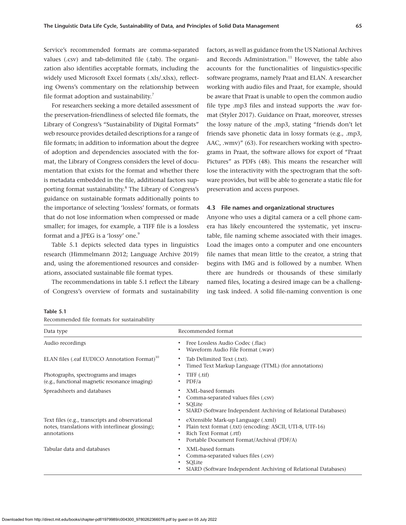Service's recommended formats are comma-separated values (.csv) and tab-delimited file (.tab). The organization also identifies acceptable formats, including the widely used Microsoft Excel formats (.xls/.xlsx), reflecting Owens's commentary on the relationship between file format adoption and sustainability.<sup>7</sup>

For researchers seeking a more detailed assessment of the preservation-friendliness of selected file formats, the Library of Congress's "Sustainability of Digital Formats" web resource provides detailed descriptions for a range of file formats; in addition to information about the degree of adoption and dependencies associated with the format, the Library of Congress considers the level of documentation that exists for the format and whether there is metadata embedded in the file, additional factors supporting format sustainability.<sup>8</sup> The Library of Congress's guidance on sustainable formats additionally points to the importance of selecting 'lossless' formats, or formats that do not lose information when compressed or made smaller; for images, for example, a TIFF file is a lossless format and a JPEG is a 'lossy' one.<sup>9</sup>

Table 5.1 depicts selected data types in linguistics research (Himmelmann 2012; Language Archive 2019) and, using the aforementioned resources and considerations, associated sustainable file format types.

The recommendations in table 5.1 reflect the Library of Congress's overview of formats and sustainability

factors, as well as guidance from the US National Archives and Records Administration. $11$  However, the table also accounts for the functionalities of linguistics-specific software programs, namely Praat and ELAN. A researcher working with audio files and Praat, for example, should be aware that Praat is unable to open the common audio file type .mp3 files and instead supports the .wav format (Styler 2017). Guidance on Praat, moreover, stresses the lossy nature of the .mp3, stating "friends don't let friends save phonetic data in lossy formats (e.g., .mp3, AAC, .wmv)" (63). For researchers working with spectrograms in Praat, the software allows for export of "Praat Pictures" as PDFs (48). This means the researcher will lose the interactivity with the spectrogram that the software provides, but will be able to generate a static file for preservation and access purposes.

## **4.3 File names and organizational structures**

Anyone who uses a digital camera or a cell phone camera has likely encountered the systematic, yet inscrutable, file naming scheme associated with their images. Load the images onto a computer and one encounters file names that mean little to the creator, a string that begins with IMG and is followed by a number. When there are hundreds or thousands of these similarly named files, locating a desired image can be a challenging task indeed. A solid file-naming convention is one

**Table 5.1** Recommended file formats for sustainability

| Data type                                                                                                         | Recommended format                                                                                                                                                           |
|-------------------------------------------------------------------------------------------------------------------|------------------------------------------------------------------------------------------------------------------------------------------------------------------------------|
| Audio recordings                                                                                                  | Free Lossless Audio Codec (.flac)<br>٠<br>Waveform Audio File Format (.wav)                                                                                                  |
| ELAN files (.eaf EUDICO Annotation Format) <sup>10</sup>                                                          | Tab Delimited Text (.txt).<br>٠<br>Timed Text Markup Language (TTML) (for annotations)                                                                                       |
| Photographs, spectrograms and images<br>(e.g., functional magnetic resonance imaging)                             | TIFF (.tif)<br>PDF/a                                                                                                                                                         |
| Spreadsheets and databases                                                                                        | XML-based formats<br>Comma-separated values files (.csv)<br>SQLite<br>٠<br>SIARD (Software Independent Archiving of Relational Databases)                                    |
| Text files (e.g., transcripts and observational<br>notes, translations with interlinear glossing);<br>annotations | eXtensible Mark-up Language (.xml)<br>Plain text format (.txt) (encoding: ASCII, UTI-8, UTF-16)<br>Rich Text Format (.rtf)<br>٠<br>Portable Document Format/Archival (PDF/A) |
| Tabular data and databases                                                                                        | XML-based formats<br>Comma-separated values files (.csv)<br>SQLite<br>SIARD (Software Independent Archiving of Relational Databases)                                         |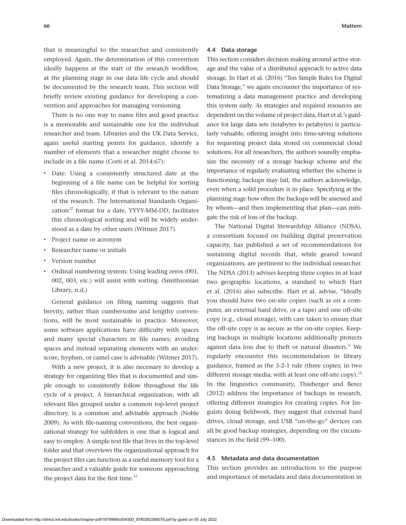that is meaningful to the researcher and consistently employed. Again, the determination of this convention ideally happens at the start of the research workflow, at the planning stage in our data life cycle and should be documented by the research team. This section will briefly review existing guidance for developing a convention and approaches for managing versioning.

There is no one way to name files and good practice is a memorable and sustainable one for the individual researcher and team. Libraries and the UK Data Service, again useful starting points for guidance, identify a number of elements that a researcher might choose to include in a file name (Corti et al. 2014:67):

- Date: Using a consistently structured date at the beginning of a file name can be helpful for sorting files chronologically, if that is relevant to the nature of the research. The International Standards Organization $^{12}$  format for a date, YYYY-MM-DD, facilitates this chronological sorting and will be widely understood as a date by other users (Witmer 2017).
- Project name or acronym
- Researcher name or initials
- Version number
- Ordinal numbering system: Using leading zeros (001, 002, 003, etc.) will assist with sorting. (Smithsonian Library, n.d.)

General guidance on filing naming suggests that brevity, rather than cumbersome and lengthy conventions, will be most sustainable in practice. Moreover, some software applications have difficulty with spaces and many special characters in file names; avoiding spaces and instead separating elements with an underscore, hyphen, or camel case is advisable (Witmer 2017).

With a new project, it is also necessary to develop a strategy for organizing files that is documented and simple enough to consistently follow throughout the life cycle of a project. A hierarchical organization, with all relevant files grouped under a common top-level project directory, is a common and advisable approach (Noble 2009). As with file-naming conventions, the best organizational strategy for subfolders is one that is logical and easy to employ. A simple text file that lives in the top-level folder and that overviews the organizational approach for the project files can function as a useful memory tool for a researcher and a valuable guide for someone approaching the project data for the first time.<sup>13</sup>

# **4.4 Data storage**

This section considers decision making around active storage and the value of a distributed approach to active data storage. In Hart et al. (2016) "Ten Simple Rules for Digital Data Storage," we again encounter the importance of systematizing a data management practice and developing this system early. As strategies and required resources are dependent on the volume of project data, Hart et al.'s guidance for large data sets (terabytes to petabytes) is particularly valuable, offering insight into time-saving solutions for requesting project data stored on commercial cloud solutions. For all researchers, the authors soundly emphasize the necessity of a storage backup scheme and the importance of regularly evaluating whether the scheme is functioning; backups may fail, the authors acknowledge, even when a solid procedure is in place. Specifying at the planning stage how often the backups will be assessed and by whom—and then implementing that plan—can mitigate the risk of loss of the backup.

The National Digital Stewardship Alliance (NDSA), a consortium focused on building digital preservation capacity, has published a set of recommendations for sustaining digital records that, while geared toward organizations, are pertinent to the individual researcher. The NDSA (2013) advises keeping three copies in at least two geographic locations, a standard to which Hart et al. (2016) also subscribe. Hart et al. advise, "Ideally you should have two on-site copies (such as on a computer, an external hard drive, or a tape) and one off-site copy (e.g., cloud storage), with care taken to ensure that the off-site copy is as secure as the on-site copies. Keeping backups in multiple locations additionally protects against data loss due to theft or natural disasters." We regularly encounter this recommendation in library guidance, framed as the 3-2-1 rule (three copies; in two different storage media; with at least one off-site copy).<sup>14</sup> In the linguistics community, Thieberger and Berez (2012) address the importance of backups in research, offering different strategies for creating copies. For linguists doing fieldwork, they suggest that external hard drives, cloud storage, and USB "on-the-go" devices can all be good backup strategies, depending on the circumstances in the field (99–100).

# **4.5 Metadata and data documentation**

This section provides an introduction to the purpose and importance of metadata and data documentation in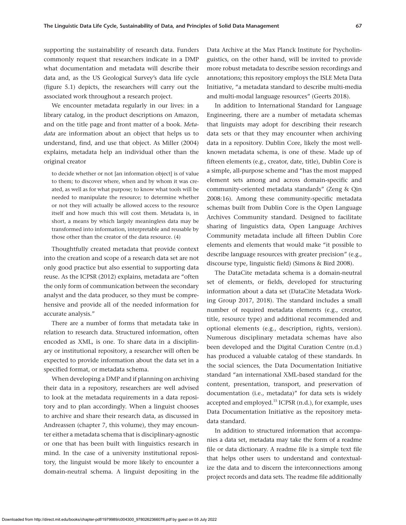supporting the sustainability of research data. Funders commonly request that researchers indicate in a DMP what documentation and metadata will describe their data and, as the US Geological Survey's data life cycle (figure 5.1) depicts, the researchers will carry out the associated work throughout a research project.

We encounter metadata regularly in our lives: in a library catalog, in the product descriptions on Amazon, and on the title page and front matter of a book. *Metadata* are information about an object that helps us to understand, find, and use that object. As Miller (2004) explains, metadata help an individual other than the original creator

to decide whether or not [an information object] is of value to them; to discover where, when and by whom it was created, as well as for what purpose; to know what tools will be needed to manipulate the resource; to determine whether or not they will actually be allowed access to the resource itself and how much this will cost them. Metadata is, in short, a means by which largely meaningless data may be transformed into information, interpretable and reusable by those other than the creator of the data resource. (4)

Thoughtfully created metadata that provide context into the creation and scope of a research data set are not only good practice but also essential to supporting data reuse. As the ICPSR (2012) explains, metadata are "often the only form of communication between the secondary analyst and the data producer, so they must be comprehensive and provide all of the needed information for accurate analysis."

There are a number of forms that metadata take in relation to research data. Structured information, often encoded as XML, is one. To share data in a disciplinary or institutional repository, a researcher will often be expected to provide information about the data set in a specified format, or metadata schema.

When developing a DMP and if planning on archiving their data in a repository, researchers are well advised to look at the metadata requirements in a data repository and to plan accordingly. When a linguist chooses to archive and share their research data, as discussed in Andreassen (chapter 7, this volume), they may encounter either a metadata schema that is disciplinary-agnostic or one that has been built with linguistics research in mind. In the case of a university institutional repository, the linguist would be more likely to encounter a domain-neutral schema. A linguist depositing in the

Data Archive at the Max Planck Institute for Psycholinguistics, on the other hand, will be invited to provide more robust metadata to describe session recordings and annotations; this repository employs the ISLE Meta Data Initiative, "a metadata standard to describe multi-media and multi-modal language resources" (Geerts 2018).

In addition to International Standard for Language Engineering, there are a number of metadata schemas that linguists may adopt for describing their research data sets or that they may encounter when archiving data in a repository. Dublin Core, likely the most wellknown metadata schema, is one of these. Made up of fifteen elements (e.g., creator, date, title), Dublin Core is a simple, all-purpose scheme and "has the most mapped element sets among and across domain-specific and community-oriented metadata standards" (Zeng & Qin 2008:16). Among these community-specific metadata schemas built from Dublin Core is the Open Language Archives Community standard. Designed to facilitate sharing of linguistics data, Open Language Archives Community metadata include all fifteen Dublin Core elements and elements that would make "it possible to describe language resources with greater precision" (e.g., discourse type, linguistic field) (Simons & Bird 2008).

The DataCite metadata schema is a domain-neutral set of elements, or fields, developed for structuring information about a data set (DataCite Metadata Working Group 2017, 2018). The standard includes a small number of required metadata elements (e.g., creator, title, resource type) and additional recommended and optional elements (e.g., description, rights, version). Numerous disciplinary metadata schemas have also been developed and the Digital Curation Centre (n.d.) has produced a valuable catalog of these standards. In the social sciences, the Data Documentation Initiative standard "an international XML-based standard for the content, presentation, transport, and preservation of documentation (i.e., metadata)" for data sets is widely accepted and employed.<sup>15</sup> ICPSR (n.d.), for example, uses Data Documentation Initiative as the repository metadata standard.

In addition to structured information that accompanies a data set, metadata may take the form of a readme file or data dictionary. A readme file is a simple text file that helps other users to understand and contextualize the data and to discern the interconnections among project records and data sets. The readme file additionally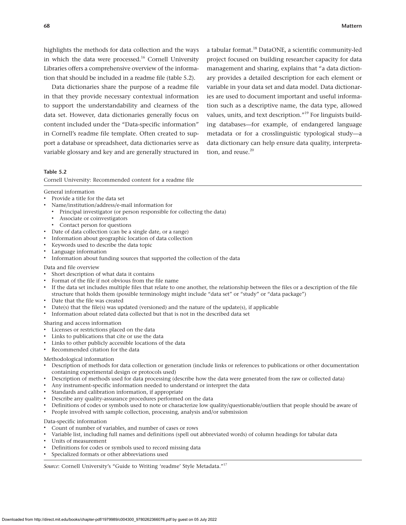highlights the methods for data collection and the ways in which the data were processed.<sup>16</sup> Cornell University Libraries offers a comprehensive overview of the information that should be included in a readme file (table 5.2).

Data dictionaries share the purpose of a readme file in that they provide necessary contextual information to support the understandability and clearness of the data set. However, data dictionaries generally focus on content included under the "Data-specific information" in Cornell's readme file template. Often created to support a database or spreadsheet, data dictionaries serve as variable glossary and key and are generally structured in

a tabular format.18 DataONE, a scientific community-led project focused on building researcher capacity for data management and sharing, explains that "a data dictionary provides a detailed description for each element or variable in your data set and data model. Data dictionaries are used to document important and useful information such as a descriptive name, the data type, allowed values, units, and text description."<sup>19</sup> For linguists building databases—for example, of endangered language metadata or for a crosslinguistic typological study—a data dictionary can help ensure data quality, interpretation, and reuse.<sup>20</sup>

## **Table 5.2**

Cornell University: Recommended content for a readme file

General information

- Provide a title for the data set
- Name/institution/address/e-mail information for
- Principal investigator (or person responsible for collecting the data)
- Associate or coinvestigators
- Contact person for questions
- Date of data collection (can be a single date, or a range)
- Information about geographic location of data collection
- Keywords used to describe the data topic
- Language information
- Information about funding sources that supported the collection of the data

Data and file overview

- Short description of what data it contains
- Format of the file if not obvious from the file name
- If the data set includes multiple files that relate to one another, the relationship between the files or a description of the file structure that holds them (possible terminology might include "data set" or "study" or "data package")
- Date that the file was created
- Date(s) that the file(s) was updated (versioned) and the nature of the update(s), if applicable
- Information about related data collected but that is not in the described data set

Sharing and access information

- Licenses or restrictions placed on the data
- Links to publications that cite or use the data
- Links to other publicly accessible locations of the data
- Recommended citation for the data

#### Methodological information

- Description of methods for data collection or generation (include links or references to publications or other documentation containing experimental design or protocols used)
- Description of methods used for data processing (describe how the data were generated from the raw or collected data)
- Any instrument-specific information needed to understand or interpret the data
- Standards and calibration information, if appropriate
- Describe any quality-assurance procedures performed on the data
- Definitions of codes or symbols used to note or characterize low quality/questionable/outliers that people should be aware of
- People involved with sample collection, processing, analysis and/or submission

Data-specific information

- Count of number of variables, and number of cases or rows
- Variable list, including full names and definitions (spell out abbreviated words) of column headings for tabular data
- Units of measurement
- Definitions for codes or symbols used to record missing data
- Specialized formats or other abbreviations used

Source: Cornell University's "Guide to Writing 'readme' Style Metadata."<sup>17</sup>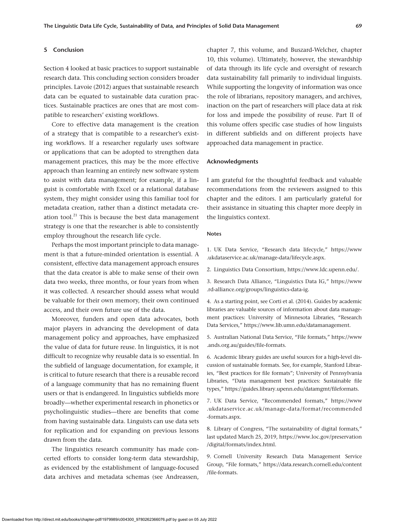# **5 Conclusion**

Section 4 looked at basic practices to support sustainable research data. This concluding section considers broader principles. Lavoie (2012) argues that sustainable research data can be equated to sustainable data curation practices. Sustainable practices are ones that are most compatible to researchers' existing workflows.

Core to effective data management is the creation of a strategy that is compatible to a researcher's existing workflows. If a researcher regularly uses software or applications that can be adopted to strengthen data management practices, this may be the more effective approach than learning an entirely new software system to assist with data management; for example, if a linguist is comfortable with Excel or a relational database system, they might consider using this familiar tool for metadata creation, rather than a distinct metadata creation tool. $^{21}$  This is because the best data management strategy is one that the researcher is able to consistently employ throughout the research life cycle.

Perhaps the most important principle to data management is that a future-minded orientation is essential. A consistent, effective data management approach ensures that the data creator is able to make sense of their own data two weeks, three months, or four years from when it was collected. A researcher should assess what would be valuable for their own memory, their own continued access, and their own future use of the data.

Moreover, funders and open data advocates, both major players in advancing the development of data management policy and approaches, have emphasized the value of data for future reuse. In linguistics, it is not difficult to recognize why reusable data is so essential. In the subfield of language documentation, for example, it is critical to future research that there is a reusable record of a language community that has no remaining fluent users or that is endangered. In linguistics subfields more broadly—whether experimental research in phonetics or psycholinguistic studies—there are benefits that come from having sustainable data. Linguists can use data sets for replication and for expanding on previous lessons drawn from the data.

The linguistics research community has made concerted efforts to consider long-term data stewardship, as evidenced by the establishment of language-focused data archives and metadata schemas (see Andreassen,

chapter 7, this volume, and Buszard-Welcher, chapter 10, this volume). Ultimately, however, the stewardship of data through its life cycle and oversight of research data sustainability fall primarily to individual linguists. While supporting the longevity of information was once the role of librarians, repository managers, and archives, inaction on the part of researchers will place data at risk for loss and impede the possibility of reuse. Part II of this volume offers specific case studies of how linguists in different subfields and on different projects have approached data management in practice.

#### **Acknowledgments**

I am grateful for the thoughtful feedback and valuable recommendations from the reviewers assigned to this chapter and the editors. I am particularly grateful for their assistance in situating this chapter more deeply in the linguistics context.

#### **Notes**

1. UK Data Service, "Research data lifecycle," [https://www](https://www.ukdataservice.ac.uk/manage-data/lifecycle.aspx) [.ukdataservice.ac.uk/manage-data/lifecycle.aspx](https://www.ukdataservice.ac.uk/manage-data/lifecycle.aspx).

2. Linguistics Data Consortium, <https://www.ldc.upenn.edu/>.

3. Research Data Alliance, "Linguistics Data IG," [https://www](https://www.rd-alliance.org/groups/linguistics-data-ig) [.rd-alliance.org/groups/linguistics-data-ig](https://www.rd-alliance.org/groups/linguistics-data-ig).

4. As a starting point, see Corti et al. (2014). Guides by academic libraries are valuable sources of information about data management practices: University of Minnesota Libraries, "Research Data Services," <https://www.lib.umn.edu/datamanagement>.

5. Australian National Data Service, "File formats," [https://www](https://www.ands.org.au/guides/file-formats) [.ands.org.au/guides/file-formats.](https://www.ands.org.au/guides/file-formats)

6. Academic library guides are useful sources for a high-level discussion of sustainable formats. See, for example, Stanford Libraries, "Best practices for file formats"; University of Pennsylvania Libraries, "Data management best practices: Sustainable file types," [https://guides.library.upenn.edu/datamgmt/fileformats.](https://guides.library.upenn.edu/datamgmt/fileformats)

7. UK Data Service, "Recommended formats," [https://www](https://www.ukdataservice.ac.uk/manage-data/format/recommended-formats.aspx) [.ukdataservice.ac.uk/manage-data/format/recommended](https://www.ukdataservice.ac.uk/manage-data/format/recommended-formats.aspx) [-formats.aspx.](https://www.ukdataservice.ac.uk/manage-data/format/recommended-formats.aspx)

8. Library of Congress, "The sustainability of digital formats," last updated March 25, 2019, [https://www.loc.gov/preservation](https://www.loc.gov/preservation/digital/formats/index.html) [/digital/formats/index.html.](https://www.loc.gov/preservation/digital/formats/index.html)

9. Cornell University Research Data Management Service Group, "File formats," [https://data.research.cornell.edu/content](https://data.research.cornell.edu/content/file-formats) [/file-formats.](https://data.research.cornell.edu/content/file-formats)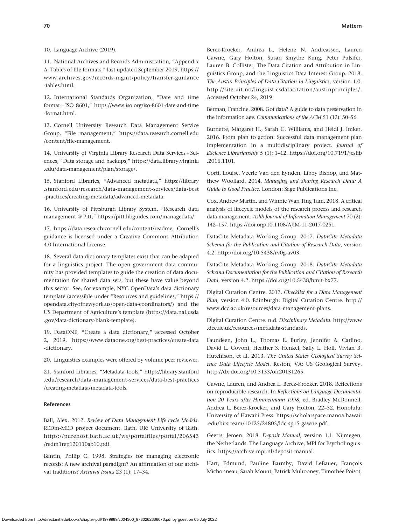10. Language Archive (2019).

11. National Archives and Records Administration, "Appendix A: Tables of file formats," last updated September 2019, [https://](https://www.archives.gov/records-mgmt/policy/transfer-guidance-tables.html) [www.archives.gov/records-mgmt/policy/transfer-guidance](https://www.archives.gov/records-mgmt/policy/transfer-guidance-tables.html) [-tables.html](https://www.archives.gov/records-mgmt/policy/transfer-guidance-tables.html).

12. International Standards Organization, "Date and time format—ISO 8601," [https://www.iso.org/iso-8601-date-and-time](https://www.iso.org/iso-8601-date-and-time-format.html) [-format.html.](https://www.iso.org/iso-8601-date-and-time-format.html)

13. Cornell University Research Data Management Service Group, "File management," [https://data.research.cornell.edu](https://data.research.cornell.edu/content/file-management) [/content/file-management](https://data.research.cornell.edu/content/file-management).

14. University of Virginia Library Research Data Services + Sciences, "Data storage and backups," [https://data.library.virginia](https://data.library.virginia.edu/data-management/plan/storage/) [.edu/data-management/plan/storage/](https://data.library.virginia.edu/data-management/plan/storage/).

15. Stanford Libraries, "Advanced metadata," [https://library](https://library.stanford.edu/research/data-management-services/data-best-practices/creating-metadata/advanced-metadata) [.stanford.edu/research/data-management-services/data-best](https://library.stanford.edu/research/data-management-services/data-best-practices/creating-metadata/advanced-metadata) [-practices/creating-metadata/advanced-metadata](https://library.stanford.edu/research/data-management-services/data-best-practices/creating-metadata/advanced-metadata).

16. University of Pittsburgh Library System, "Research data management @ Pitt," [https://pitt.libguides.com/managedata/.](https://pitt.libguides.com/managedata/)

17. [https://data.research.cornell.edu/content/readme;](https://data.research.cornell.edu/content/readme) Cornell's guidance is licensed under a Creative Commons Attribution 4.0 International License.

18. Several data dictionary templates exist that can be adapted for a linguistics project. The open government data community has provided templates to guide the creation of data documentation for shared data sets, but these have value beyond this sector. See, for example, NYC OpenData's data dictionary template (accessible under "Resources and guidelines," [https://](https://opendata.cityofnewyork.us/open-data-coordinators/) [opendata.cityofnewyork.us/open-data-coordinators/\)](https://opendata.cityofnewyork.us/open-data-coordinators/) and the US Department of Agriculture's template [\(https://data.nal.usda](https://data.nal.usda.gov/data-dictionary-blank-template) [.gov/data-dictionary-blank-template](https://data.nal.usda.gov/data-dictionary-blank-template)).

19. DataONE, "Create a data dictionary," accessed October 2, 2019, [https://www.dataone.org/best-practices/create-data](https://www.dataone.org/best-practices/create-data-dictionary) [-dictionary](https://www.dataone.org/best-practices/create-data-dictionary).

20. Linguistics examples were offered by volume peer reviewer.

21. Stanford Libraries, "Metadata tools," [https://library.stanford](https://library.stanford.edu/research/data-management-services/data-best-practices/creating-metadata/metadata-tools) [.edu/research/data-management-services/data-best-practices](https://library.stanford.edu/research/data-management-services/data-best-practices/creating-metadata/metadata-tools) [/creating-metadata/metadata-tools](https://library.stanford.edu/research/data-management-services/data-best-practices/creating-metadata/metadata-tools).

#### **References**

Ball, Alex. 2012. *Review of Data Management Life cycle Models.* REDm-MED project document. Bath, UK: University of Bath. [https://purehost.bath.ac.uk/ws/portalfiles/portal/206543](https://purehost.bath.ac.uk/ws/portalfiles/portal/206543/redm1rep120110ab10.pdf) [/redm1rep120110ab10.pdf.](https://purehost.bath.ac.uk/ws/portalfiles/portal/206543/redm1rep120110ab10.pdf)

Bantin, Philip C. 1998. Strategies for managing electronic records: A new archival paradigm? An affirmation of our archival traditions? *Archival Issues* 23 (1): 17–34.

Berez-Kroeker, Andrea L., Helene N. Andreassen, Lauren Gawne, Gary Holton, Susan Smythe Kung, Peter Pulsifer, Lauren B. Collister, The Data Citation and Attribution in Linguistics Group, and the Linguistics Data Interest Group. 2018. *The Austin Principles of Data Citation in Linguistics*, version 1.0. <http://site.uit.no/linguisticsdatacitation/austinprinciples/>. Accessed October 24, 2019.

Berman, Francine. 2008. Got data? A guide to data preservation in the information age. *Communications of the ACM* 51 (12): 50–56.

Burnette, Margaret H., Sarah C. Williams, and Heidi J. Imker. 2016. From plan to action: Successful data management plan implementation in a multidisciplinary project. *Journal of EScience Librarianship* 5 (1): 1–12. [https://doi.org/10.7191/jeslib](https://doi.org/10.7191/jeslib.2016.1101) [.2016.1101](https://doi.org/10.7191/jeslib.2016.1101).

Corti, Louise, Veerle Van den Eynden, Libby Bishop, and Matthew Woollard. 2014. *Managing and Sharing Research Data: A Guide to Good Practice*. London: Sage Publications Inc.

Cox, Andrew Martin, and Winnie Wan Ting Tam. 2018. A critical analysis of lifecycle models of the research process and research data management. *Aslib Journal of Information Management* 70 (2): 142–157.<https://doi.org/10.1108/AJIM-11-2017-0251>.

DataCite Metadata Working Group. 2017. *DataCite Metadata Schema for the Publication and Citation of Research Data*, version 4.2.<http://doi.org/10.5438/rv0g-av03>.

DataCite Metadata Working Group. 2018. *DataCite Metadata Schema Documentation for the Publication and Citation of Research Data*, version 4.2.<https://doi.org/10.5438/bmjt-bx77>.

Digital Curation Centre. 2013. *Checklist for a Data Management Plan*, version 4.0. Edinburgh: Digital Curation Centre. [http://](http://www.dcc.ac.uk/resources/data-management-plans) [www.dcc.ac.uk/resources/data-management-plans.](http://www.dcc.ac.uk/resources/data-management-plans)

Digital Curation Centre. n.d. *Disciplinary Metadata*. [http://www](http://www.dcc.ac.uk/resources/metadata-standards) [.dcc.ac.uk/resources/metadata-standards](http://www.dcc.ac.uk/resources/metadata-standards).

Faundeen, John L., Thomas E. Burley, Jennifer A. Carlino, David L. Govoni, Heather S. Henkel, Sally L. Holl, Vivian B. Hutchison, et al. 2013. *The United States Geological Survey Science Data Lifecycle Model*. Reston, VA: US Geological Survey. [http://dx.doi.org/10.3133/ofr20131265.](http://dx.doi.org/10.3133/ofr20131265)

Gawne, Lauren, and Andrea L. Berez-Kroeker. 2018. Reflections on reproducible research. In *Reflections on Language Documentation 20 Years after Himmelmann 1998*, ed. Bradley McDonnell, Andrea L. Berez-Kroeker, and Gary Holton, 22–32. Honolulu: University of Hawaiʻi Press. [https://scholarspace.manoa.hawaii](https://scholarspace.manoa.hawaii.edu/bitstream/10125/24805/ldc-sp15-gawne.pdf) [.edu/bitstream/10125/24805/ldc-sp15-gawne.pdf](https://scholarspace.manoa.hawaii.edu/bitstream/10125/24805/ldc-sp15-gawne.pdf).

Geerts, Jeroen. 2018. *Deposit Manual*, version 1.1. Nijmegen, the Netherlands: The Language Archive, MPI for Psycholinguistics. [https://archive.mpi.nl/deposit-manual.](https://archive.mpi.nl/deposit-manual)

Hart, Edmund, Pauline Barmby, David LeBauer, François Michonneau, Sarah Mount, Patrick Mulrooney, Timothée Poisot,